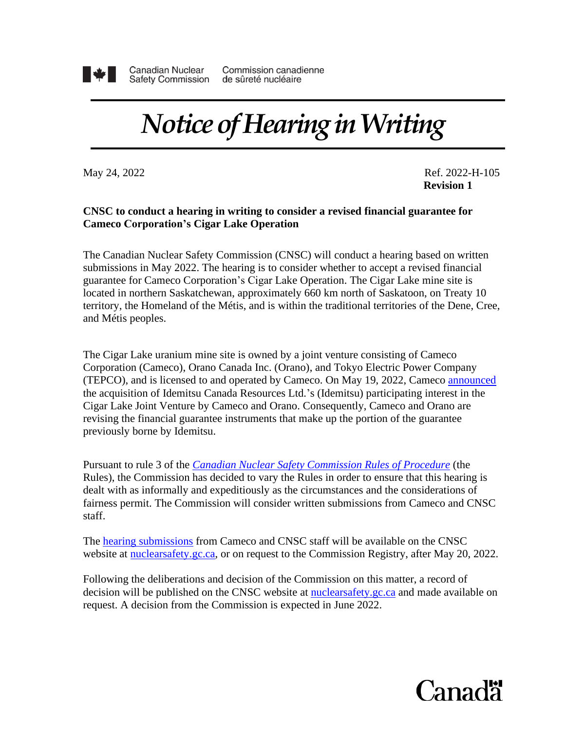

**Canadian Nuclear Safety Commission** 

Commission canadienne de sûreté nucléaire

## *Notice of Hearing in Writing*

May 24, 2022 **Ref. 2022-H-105 Revision 1**

## **CNSC to conduct a hearing in writing to consider a revised financial guarantee for Cameco Corporation's Cigar Lake Operation**

The Canadian Nuclear Safety Commission (CNSC) will conduct a hearing based on written submissions in May 2022. The hearing is to consider whether to accept a revised financial guarantee for Cameco Corporation's Cigar Lake Operation. The Cigar Lake mine site is located in northern Saskatchewan, approximately 660 km north of Saskatoon, on Treaty 10 territory, the Homeland of the Métis, and is within the traditional territories of the Dene, Cree, and Métis peoples.

The Cigar Lake uranium mine site is owned by a joint venture consisting of Cameco Corporation (Cameco), Orano Canada Inc. (Orano), and Tokyo Electric Power Company (TEPCO), and is licensed to and operated by Cameco. On May 19, 2022, Cameco [announced](https://www.cameco.com/media/news/transaction-increasing-camecos-ownership-stake-in-cigar-lake-closes) the acquisition of Idemitsu Canada Resources Ltd.'s (Idemitsu) participating interest in the Cigar Lake Joint Venture by Cameco and Orano. Consequently, Cameco and Orano are revising the financial guarantee instruments that make up the portion of the guarantee previously borne by Idemitsu.

Pursuant to rule 3 of the *[Canadian Nuclear Safety Commission Rules of Procedure](https://laws-lois.justice.gc.ca/eng/regulations/SOR-2000-211/FullText.html)* (the Rules), the Commission has decided to vary the Rules in order to ensure that this hearing is dealt with as informally and expeditiously as the circumstances and the considerations of fairness permit. The Commission will consider written submissions from Cameco and CNSC staff.

The [hearing submissions](http://www.nuclearsafety.gc.ca/eng/the-commission/hearings/cmd/index.cfm) from Cameco and CNSC staff will be available on the CNSC website at [nuclearsafety.gc.ca,](http://www.nuclearsafety.gc.ca/) or on request to the Commission Registry, after May 20, 2022.

Following the deliberations and decision of the Commission on this matter, a record of decision will be published on the CNSC website at [nuclearsafety.gc.ca](http://nuclearsafety.gc.ca/) and made available on request. A decision from the Commission is expected in June 2022.